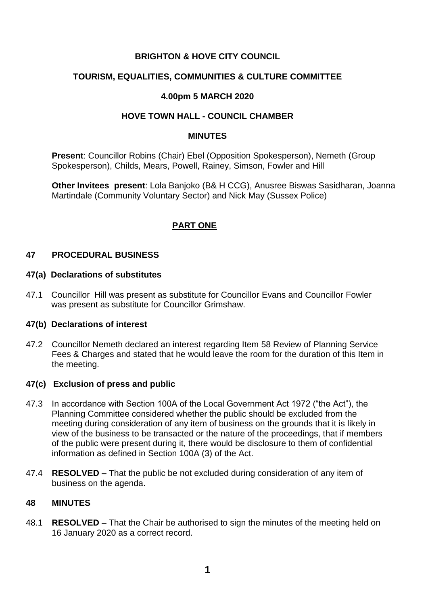# **BRIGHTON & HOVE CITY COUNCIL**

# **TOURISM, EQUALITIES, COMMUNITIES & CULTURE COMMITTEE**

## **4.00pm 5 MARCH 2020**

## **HOVE TOWN HALL - COUNCIL CHAMBER**

#### **MINUTES**

**Present**: Councillor Robins (Chair) Ebel (Opposition Spokesperson), Nemeth (Group Spokesperson), Childs, Mears, Powell, Rainey, Simson, Fowler and Hill

**Other Invitees present**: Lola Banjoko (B& H CCG), Anusree Biswas Sasidharan, Joanna Martindale (Community Voluntary Sector) and Nick May (Sussex Police)

# **PART ONE**

## **47 PROCEDURAL BUSINESS**

#### **47(a) Declarations of substitutes**

47.1 Councillor Hill was present as substitute for Councillor Evans and Councillor Fowler was present as substitute for Councillor Grimshaw.

#### **47(b) Declarations of interest**

47.2 Councillor Nemeth declared an interest regarding Item 58 Review of Planning Service Fees & Charges and stated that he would leave the room for the duration of this Item in the meeting.

## **47(c) Exclusion of press and public**

- 47.3 In accordance with Section 100A of the Local Government Act 1972 ("the Act"), the Planning Committee considered whether the public should be excluded from the meeting during consideration of any item of business on the grounds that it is likely in view of the business to be transacted or the nature of the proceedings, that if members of the public were present during it, there would be disclosure to them of confidential information as defined in Section 100A (3) of the Act.
- 47.4 **RESOLVED –** That the public be not excluded during consideration of any item of business on the agenda.

#### **48 MINUTES**

48.1 **RESOLVED –** That the Chair be authorised to sign the minutes of the meeting held on 16 January 2020 as a correct record.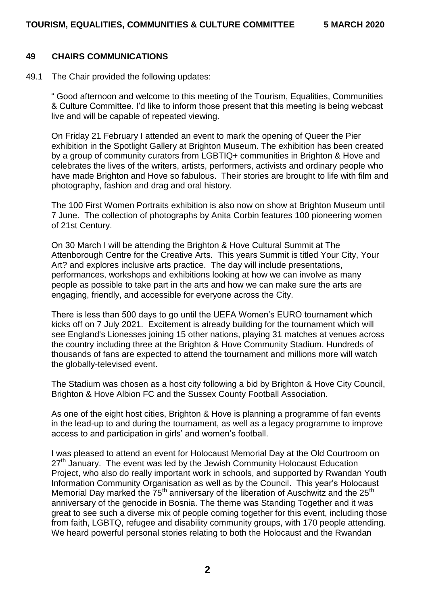#### **49 CHAIRS COMMUNICATIONS**

49.1 The Chair provided the following updates:

" Good afternoon and welcome to this meeting of the Tourism, Equalities, Communities & Culture Committee. I'd like to inform those present that this meeting is being webcast live and will be capable of repeated viewing.

On Friday 21 February I attended an event to mark the opening of Queer the Pier exhibition in the Spotlight Gallery at Brighton Museum. The exhibition has been created by a group of community curators from LGBTIQ+ communities in Brighton & Hove and celebrates the lives of the writers, artists, performers, activists and ordinary people who have made Brighton and Hove so fabulous. Their stories are brought to life with film and photography, fashion and drag and oral history.

The 100 First Women Portraits exhibition is also now on show at Brighton Museum until 7 June. The collection of photographs by Anita Corbin features 100 pioneering women of 21st Century.

On 30 March I will be attending the Brighton & Hove Cultural Summit at The Attenborough Centre for the Creative Arts. This years Summit is titled Your City, Your Art? and explores inclusive arts practice. The day will include presentations, performances, workshops and exhibitions looking at how we can involve as many people as possible to take part in the arts and how we can make sure the arts are engaging, friendly, and accessible for everyone across the City.

There is less than 500 days to go until the UEFA Women's EURO tournament which kicks off on 7 July 2021. Excitement is already building for the tournament which will see England's Lionesses joining 15 other nations, playing 31 matches at venues across the country including three at the Brighton & Hove Community Stadium. Hundreds of thousands of fans are expected to attend the tournament and millions more will watch the globally-televised event.

The Stadium was chosen as a host city following a bid by Brighton & Hove City Council, Brighton & Hove Albion FC and the Sussex County Football Association.

As one of the eight host cities, Brighton & Hove is planning a programme of fan events in the lead-up to and during the tournament, as well as a legacy programme to improve access to and participation in girls' and women's football.

I was pleased to attend an event for Holocaust Memorial Day at the Old Courtroom on  $27<sup>th</sup>$  January. The event was led by the Jewish Community Holocaust Education Project, who also do really important work in schools, and supported by Rwandan Youth Information Community Organisation as well as by the Council. This year's Holocaust Memorial Day marked the  $75<sup>th</sup>$  anniversary of the liberation of Auschwitz and the  $25<sup>th</sup>$ anniversary of the genocide in Bosnia. The theme was Standing Together and it was great to see such a diverse mix of people coming together for this event, including those from faith, LGBTQ, refugee and disability community groups, with 170 people attending. We heard powerful personal stories relating to both the Holocaust and the Rwandan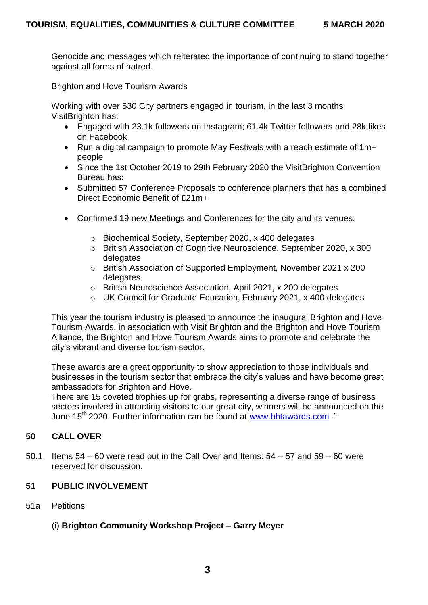Genocide and messages which reiterated the importance of continuing to stand together against all forms of hatred.

Brighton and Hove Tourism Awards

Working with over 530 City partners engaged in tourism, in the last 3 months VisitBrighton has:

- Engaged with 23.1k followers on Instagram; 61.4k Twitter followers and 28k likes on Facebook
- Run a digital campaign to promote May Festivals with a reach estimate of 1m+ people
- Since the 1st October 2019 to 29th February 2020 the VisitBrighton Convention Bureau has:
- Submitted 57 Conference Proposals to conference planners that has a combined Direct Economic Benefit of £21m+
- Confirmed 19 new Meetings and Conferences for the city and its venues:
	- o Biochemical Society, September 2020, x 400 delegates
	- o British Association of Cognitive Neuroscience, September 2020, x 300 delegates
	- o British Association of Supported Employment, November 2021 x 200 delegates
	- o British Neuroscience Association, April 2021, x 200 delegates
	- o UK Council for Graduate Education, February 2021, x 400 delegates

This year the tourism industry is pleased to announce the inaugural Brighton and Hove Tourism Awards, in association with Visit Brighton and the Brighton and Hove Tourism Alliance, the Brighton and Hove Tourism Awards aims to promote and celebrate the city's vibrant and diverse tourism sector.

These awards are a great opportunity to show appreciation to those individuals and businesses in the tourism sector that embrace the city's values and have become great ambassadors for Brighton and Hove.

There are 15 coveted trophies up for grabs, representing a diverse range of business sectors involved in attracting visitors to our great city, winners will be announced on the June 15<sup>th</sup> 2020. Further information can be found at [www.bhtawards.com](http://www.bhtawards.com/) "

## **50 CALL OVER**

50.1 Items  $54 - 60$  were read out in the Call Over and Items:  $54 - 57$  and  $59 - 60$  were reserved for discussion.

## **51 PUBLIC INVOLVEMENT**

51a Petitions

## (i) **Brighton Community Workshop Project – Garry Meyer**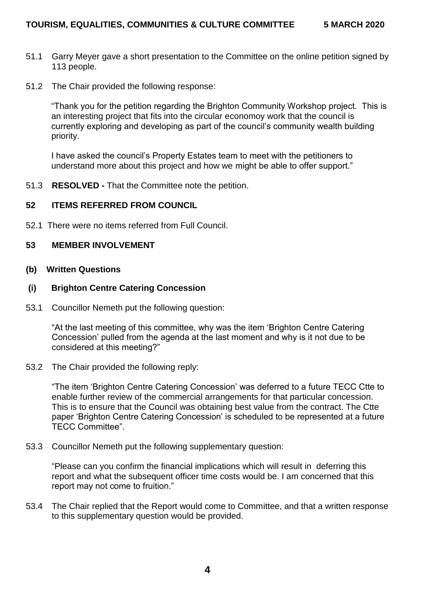- 51.1 Garry Meyer gave a short presentation to the Committee on the online petition signed by 113 people.
- 51.2 The Chair provided the following response:

"Thank you for the petition regarding the Brighton Community Workshop project. This is an interesting project that fits into the circular economoy work that the council is currently exploring and developing as part of the council's community wealth building priority.

I have asked the council's Property Estates team to meet with the petitioners to understand more about this project and how we might be able to offer support."

51.3 **RESOLVED -** That the Committee note the petition.

#### **52 ITEMS REFERRED FROM COUNCIL**

52.1 There were no items referred from Full Council.

#### **53 MEMBER INVOLVEMENT**

**(b) Written Questions**

#### **(i) Brighton Centre Catering Concession**

53.1 Councillor Nemeth put the following question:

"At the last meeting of this committee, why was the item 'Brighton Centre Catering Concession' pulled from the agenda at the last moment and why is it not due to be considered at this meeting?"

53.2 The Chair provided the following reply:

"The item 'Brighton Centre Catering Concession' was deferred to a future TECC Ctte to enable further review of the commercial arrangements for that particular concession. This is to ensure that the Council was obtaining best value from the contract. The Ctte paper 'Brighton Centre Catering Concession' is scheduled to be represented at a future TECC Committee".

53.3 Councillor Nemeth put the following supplementary question:

"Please can you confirm the financial implications which will result in deferring this report and what the subsequent officer time costs would be. I am concerned that this report may not come to fruition."

53.4 The Chair replied that the Report would come to Committee, and that a written response to this supplementary question would be provided.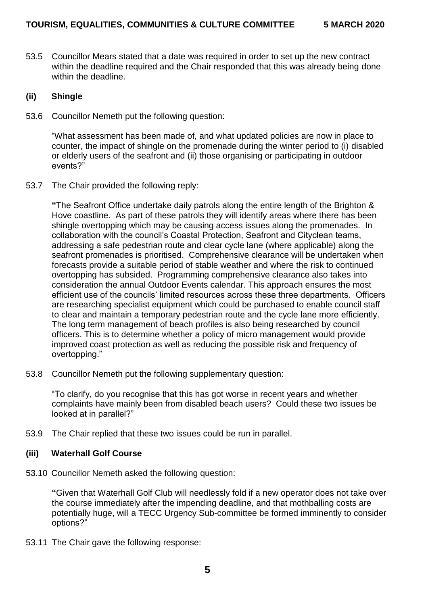53.5 Councillor Mears stated that a date was required in order to set up the new contract within the deadline required and the Chair responded that this was already being done within the deadline.

#### **(ii) Shingle**

53.6 Councillor Nemeth put the following question:

"What assessment has been made of, and what updated policies are now in place to counter, the impact of shingle on the promenade during the winter period to (i) disabled or elderly users of the seafront and (ii) those organising or participating in outdoor events?"

53.7 The Chair provided the following reply:

**"**The Seafront Office undertake daily patrols along the entire length of the Brighton & Hove coastline. As part of these patrols they will identify areas where there has been shingle overtopping which may be causing access issues along the promenades. In collaboration with the council's Coastal Protection, Seafront and Cityclean teams, addressing a safe pedestrian route and clear cycle lane (where applicable) along the seafront promenades is prioritised. Comprehensive clearance will be undertaken when forecasts provide a suitable period of stable weather and where the risk to continued overtopping has subsided. Programming comprehensive clearance also takes into consideration the annual Outdoor Events calendar. This approach ensures the most efficient use of the councils' limited resources across these three departments. Officers are researching specialist equipment which could be purchased to enable council staff to clear and maintain a temporary pedestrian route and the cycle lane more efficiently. The long term management of beach profiles is also being researched by council officers. This is to determine whether a policy of micro management would provide improved coast protection as well as reducing the possible risk and frequency of overtopping."

53.8 Councillor Nemeth put the following supplementary question:

"To clarify, do you recognise that this has got worse in recent years and whether complaints have mainly been from disabled beach users? Could these two issues be looked at in parallel?"

53.9 The Chair replied that these two issues could be run in parallel.

## **(iii) Waterhall Golf Course**

53.10 Councillor Nemeth asked the following question:

**"**Given that Waterhall Golf Club will needlessly fold if a new operator does not take over the course immediately after the impending deadline, and that mothballing costs are potentially huge, will a TECC Urgency Sub-committee be formed imminently to consider options?"

53.11 The Chair gave the following response: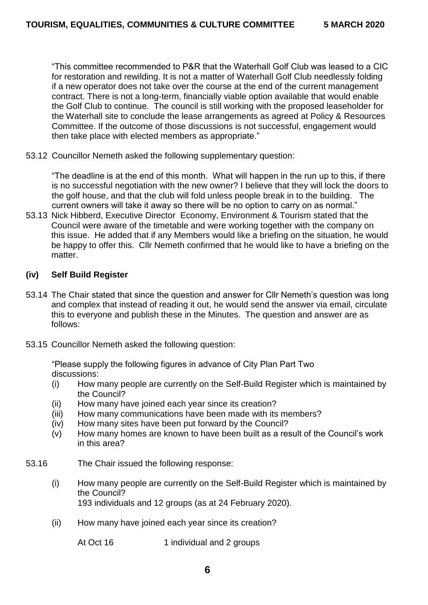"This committee recommended to P&R that the Waterhall Golf Club was leased to a CIC for restoration and rewilding. It is not a matter of Waterhall Golf Club needlessly folding if a new operator does not take over the course at the end of the current management contract. There is not a long-term, financially viable option available that would enable the Golf Club to continue. The council is still working with the proposed leaseholder for the Waterhall site to conclude the lease arrangements as agreed at Policy & Resources Committee. If the outcome of those discussions is not successful, engagement would then take place with elected members as appropriate."

53.12 Councillor Nemeth asked the following supplementary question:

"The deadline is at the end of this month. What will happen in the run up to this, if there is no successful negotiation with the new owner? I believe that they will lock the doors to the golf house, and that the club will fold unless people break in to the building. The current owners will take it away so there will be no option to carry on as normal."

53.13 Nick Hibberd, Executive Director Economy, Environment & Tourism stated that the Council were aware of the timetable and were working together with the company on this issue. He added that if any Members would like a briefing on the situation, he would be happy to offer this. Cllr Nemeth confirmed that he would like to have a briefing on the matter.

## **(iv) Self Build Register**

- 53.14 The Chair stated that since the question and answer for Cllr Nemeth's question was long and complex that instead of reading it out, he would send the answer via email, circulate this to everyone and publish these in the Minutes. The question and answer are as follows:
- 53.15 Councillor Nemeth asked the following question:

"Please supply the following figures in advance of City Plan Part Two discussions:

- (i) How many people are currently on the Self-Build Register which is maintained by the Council?
- (ii) How many have joined each year since its creation?
- (iii) How many communications have been made with its members?
- (iv) How many sites have been put forward by the Council?
- (v) How many homes are known to have been built as a result of the Council's work in this area?
- 53.16 The Chair issued the following response:
	- (i) How many people are currently on the Self-Build Register which is maintained by the Council? 193 individuals and 12 groups (as at 24 February 2020).
	- (ii) How many have joined each year since its creation?

At Oct 16 1 individual and 2 groups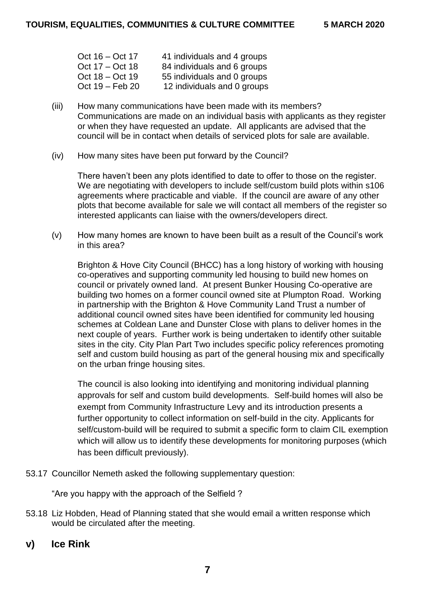| Oct 16 – Oct 17   | 41 individuals and 4 groups |
|-------------------|-----------------------------|
| Oct $17 - Oct$ 18 | 84 individuals and 6 groups |
| Oct $18 - Oct 19$ | 55 individuals and 0 groups |
| Oct 19 - Feb 20   | 12 individuals and 0 groups |

- (iii) How many communications have been made with its members? Communications are made on an individual basis with applicants as they register or when they have requested an update. All applicants are advised that the council will be in contact when details of serviced plots for sale are available.
- (iv) How many sites have been put forward by the Council?

There haven't been any plots identified to date to offer to those on the register. We are negotiating with developers to include self/custom build plots within s106 agreements where practicable and viable. If the council are aware of any other plots that become available for sale we will contact all members of the register so interested applicants can liaise with the owners/developers direct.

(v) How many homes are known to have been built as a result of the Council's work in this area?

Brighton & Hove City Council (BHCC) has a long history of working with housing co-operatives and supporting community led housing to build new homes on council or privately owned land. At present Bunker Housing Co-operative are building two homes on a former council owned site at Plumpton Road. Working in partnership with the Brighton & Hove Community Land Trust a number of additional council owned sites have been identified for community led housing schemes at Coldean Lane and Dunster Close with plans to deliver homes in the next couple of years. Further work is being undertaken to identify other suitable sites in the city. City Plan Part Two includes specific policy references promoting self and custom build housing as part of the general housing mix and specifically on the urban fringe housing sites.

The council is also looking into identifying and monitoring individual planning approvals for self and custom build developments. Self-build homes will also be exempt from Community Infrastructure Levy and its introduction presents a further opportunity to collect information on self-build in the city. Applicants for self/custom-build will be required to submit a specific form to claim CIL exemption which will allow us to identify these developments for monitoring purposes (which has been difficult previously).

53.17 Councillor Nemeth asked the following supplementary question:

"Are you happy with the approach of the Selfield ?

- 53.18 Liz Hobden, Head of Planning stated that she would email a written response which would be circulated after the meeting.
- **v) Ice Rink**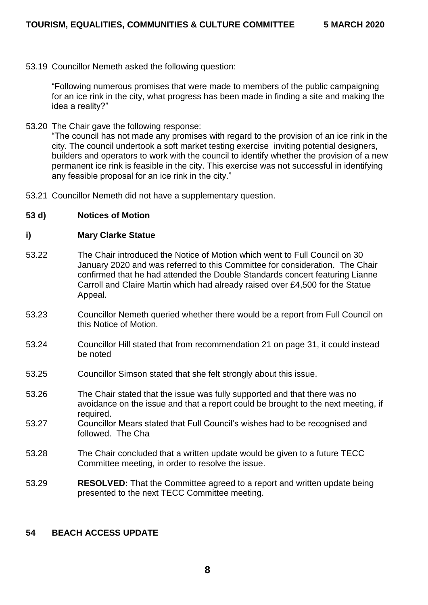53.19 Councillor Nemeth asked the following question:

"Following numerous promises that were made to members of the public campaigning for an ice rink in the city, what progress has been made in finding a site and making the idea a reality?"

53.20 The Chair gave the following response:

"The council has not made any promises with regard to the provision of an ice rink in the city. The council undertook a soft market testing exercise inviting potential designers, builders and operators to work with the council to identify whether the provision of a new permanent ice rink is feasible in the city. This exercise was not successful in identifying any feasible proposal for an ice rink in the city."

- 53.21 Councillor Nemeth did not have a supplementary question.
- **53 d) Notices of Motion**

#### **i) Mary Clarke Statue**

- 53.22 The Chair introduced the Notice of Motion which went to Full Council on 30 January 2020 and was referred to this Committee for consideration. The Chair confirmed that he had attended the Double Standards concert featuring Lianne Carroll and Claire Martin which had already raised over £4,500 for the Statue Appeal.
- 53.23 Councillor Nemeth queried whether there would be a report from Full Council on this Notice of Motion.
- 53.24 Councillor Hill stated that from recommendation 21 on page 31, it could instead be noted
- 53.25 Councillor Simson stated that she felt strongly about this issue.
- 53.26 The Chair stated that the issue was fully supported and that there was no avoidance on the issue and that a report could be brought to the next meeting, if required.
- 53.27 Councillor Mears stated that Full Council's wishes had to be recognised and followed. The Cha
- 53.28 The Chair concluded that a written update would be given to a future TECC Committee meeting, in order to resolve the issue.
- 53.29 **RESOLVED:** That the Committee agreed to a report and written update being presented to the next TECC Committee meeting.

## **54 BEACH ACCESS UPDATE**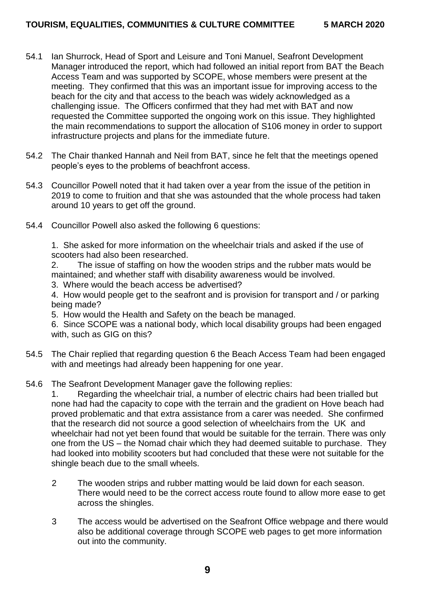- 54.1 Ian Shurrock, Head of Sport and Leisure and Toni Manuel, Seafront Development Manager introduced the report, which had followed an initial report from BAT the Beach Access Team and was supported by SCOPE, whose members were present at the meeting. They confirmed that this was an important issue for improving access to the beach for the city and that access to the beach was widely acknowledged as a challenging issue. The Officers confirmed that they had met with BAT and now requested the Committee supported the ongoing work on this issue. They highlighted the main recommendations to support the allocation of S106 money in order to support infrastructure projects and plans for the immediate future.
- 54.2 The Chair thanked Hannah and Neil from BAT, since he felt that the meetings opened people's eyes to the problems of beachfront access.
- 54.3 Councillor Powell noted that it had taken over a year from the issue of the petition in 2019 to come to fruition and that she was astounded that the whole process had taken around 10 years to get off the ground.
- 54.4 Councillor Powell also asked the following 6 questions:

1. She asked for more information on the wheelchair trials and asked if the use of scooters had also been researched.

- 2. The issue of staffing on how the wooden strips and the rubber mats would be maintained; and whether staff with disability awareness would be involved.
- 3. Where would the beach access be advertised?
- 4. How would people get to the seafront and is provision for transport and / or parking being made?
- 5. How would the Health and Safety on the beach be managed.

6. Since SCOPE was a national body, which local disability groups had been engaged with, such as GIG on this?

- 54.5 The Chair replied that regarding question 6 the Beach Access Team had been engaged with and meetings had already been happening for one year.
- 54.6 The Seafront Development Manager gave the following replies:

1. Regarding the wheelchair trial, a number of electric chairs had been trialled but none had had the capacity to cope with the terrain and the gradient on Hove beach had proved problematic and that extra assistance from a carer was needed. She confirmed that the research did not source a good selection of wheelchairs from the UK and wheelchair had not yet been found that would be suitable for the terrain. There was only one from the US – the Nomad chair which they had deemed suitable to purchase. They had looked into mobility scooters but had concluded that these were not suitable for the shingle beach due to the small wheels.

- 2 The wooden strips and rubber matting would be laid down for each season. There would need to be the correct access route found to allow more ease to get across the shingles.
- 3 The access would be advertised on the Seafront Office webpage and there would also be additional coverage through SCOPE web pages to get more information out into the community.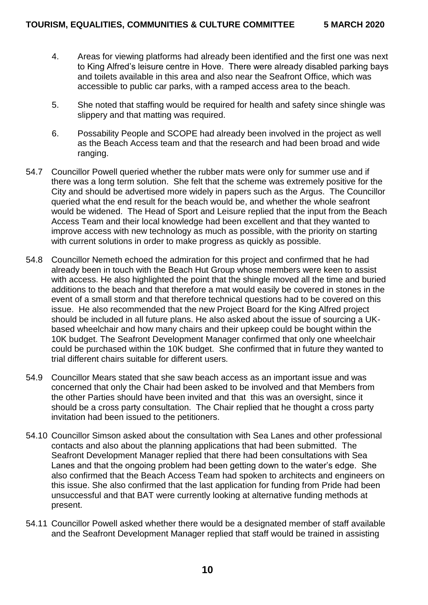- 4. Areas for viewing platforms had already been identified and the first one was next to King Alfred's leisure centre in Hove. There were already disabled parking bays and toilets available in this area and also near the Seafront Office, which was accessible to public car parks, with a ramped access area to the beach.
- 5. She noted that staffing would be required for health and safety since shingle was slippery and that matting was required.
- 6. Possability People and SCOPE had already been involved in the project as well as the Beach Access team and that the research and had been broad and wide ranging.
- 54.7 Councillor Powell queried whether the rubber mats were only for summer use and if there was a long term solution. She felt that the scheme was extremely positive for the City and should be advertised more widely in papers such as the Argus. The Councillor queried what the end result for the beach would be, and whether the whole seafront would be widened. The Head of Sport and Leisure replied that the input from the Beach Access Team and their local knowledge had been excellent and that they wanted to improve access with new technology as much as possible, with the priority on starting with current solutions in order to make progress as quickly as possible.
- 54.8 Councillor Nemeth echoed the admiration for this project and confirmed that he had already been in touch with the Beach Hut Group whose members were keen to assist with access. He also highlighted the point that the shingle moved all the time and buried additions to the beach and that therefore a mat would easily be covered in stones in the event of a small storm and that therefore technical questions had to be covered on this issue. He also recommended that the new Project Board for the King Alfred project should be included in all future plans. He also asked about the issue of sourcing a UKbased wheelchair and how many chairs and their upkeep could be bought within the 10K budget. The Seafront Development Manager confirmed that only one wheelchair could be purchased within the 10K budget. She confirmed that in future they wanted to trial different chairs suitable for different users.
- 54.9 Councillor Mears stated that she saw beach access as an important issue and was concerned that only the Chair had been asked to be involved and that Members from the other Parties should have been invited and that this was an oversight, since it should be a cross party consultation. The Chair replied that he thought a cross party invitation had been issued to the petitioners.
- 54.10 Councillor Simson asked about the consultation with Sea Lanes and other professional contacts and also about the planning applications that had been submitted. The Seafront Development Manager replied that there had been consultations with Sea Lanes and that the ongoing problem had been getting down to the water's edge. She also confirmed that the Beach Access Team had spoken to architects and engineers on this issue. She also confirmed that the last application for funding from Pride had been unsuccessful and that BAT were currently looking at alternative funding methods at present.
- 54.11 Councillor Powell asked whether there would be a designated member of staff available and the Seafront Development Manager replied that staff would be trained in assisting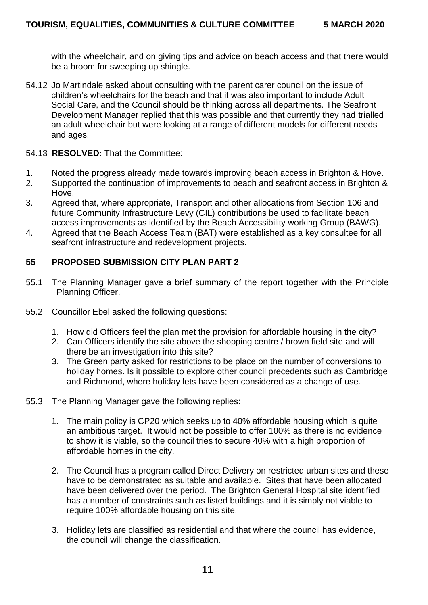with the wheelchair, and on giving tips and advice on beach access and that there would be a broom for sweeping up shingle.

- 54.12 Jo Martindale asked about consulting with the parent carer council on the issue of children's wheelchairs for the beach and that it was also important to include Adult Social Care, and the Council should be thinking across all departments. The Seafront Development Manager replied that this was possible and that currently they had trialled an adult wheelchair but were looking at a range of different models for different needs and ages.
- 54.13 **RESOLVED:** That the Committee:
- 1. Noted the progress already made towards improving beach access in Brighton & Hove.
- 2. Supported the continuation of improvements to beach and seafront access in Brighton & Hove.
- 3. Agreed that, where appropriate, Transport and other allocations from Section 106 and future Community Infrastructure Levy (CIL) contributions be used to facilitate beach access improvements as identified by the Beach Accessibility working Group (BAWG).
- 4. Agreed that the Beach Access Team (BAT) were established as a key consultee for all seafront infrastructure and redevelopment projects.

## **55 PROPOSED SUBMISSION CITY PLAN PART 2**

- 55.1 The Planning Manager gave a brief summary of the report together with the Principle Planning Officer.
- 55.2 Councillor Ebel asked the following questions:
	- 1. How did Officers feel the plan met the provision for affordable housing in the city?
	- 2. Can Officers identify the site above the shopping centre / brown field site and will there be an investigation into this site?
	- 3. The Green party asked for restrictions to be place on the number of conversions to holiday homes. Is it possible to explore other council precedents such as Cambridge and Richmond, where holiday lets have been considered as a change of use.
- 55.3 The Planning Manager gave the following replies:
	- 1. The main policy is CP20 which seeks up to 40% affordable housing which is quite an ambitious target. It would not be possible to offer 100% as there is no evidence to show it is viable, so the council tries to secure 40% with a high proportion of affordable homes in the city.
	- 2. The Council has a program called Direct Delivery on restricted urban sites and these have to be demonstrated as suitable and available. Sites that have been allocated have been delivered over the period. The Brighton General Hospital site identified has a number of constraints such as listed buildings and it is simply not viable to require 100% affordable housing on this site.
	- 3. Holiday lets are classified as residential and that where the council has evidence, the council will change the classification.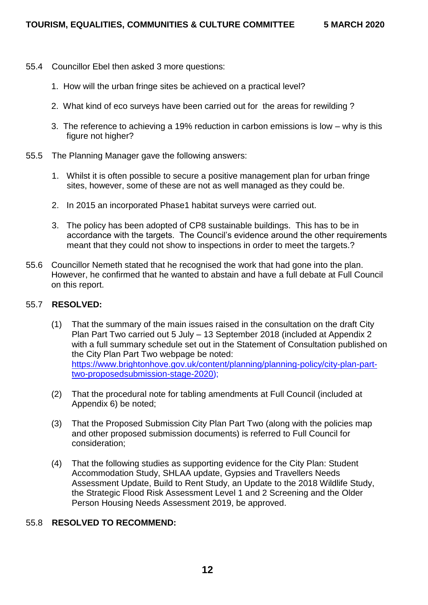- 55.4 Councillor Ebel then asked 3 more questions:
	- 1. How will the urban fringe sites be achieved on a practical level?
	- 2. What kind of eco surveys have been carried out for the areas for rewilding ?
	- 3. The reference to achieving a 19% reduction in carbon emissions is low why is this figure not higher?
- 55.5 The Planning Manager gave the following answers:
	- 1. Whilst it is often possible to secure a positive management plan for urban fringe sites, however, some of these are not as well managed as they could be.
	- 2. In 2015 an incorporated Phase1 habitat surveys were carried out.
	- 3. The policy has been adopted of CP8 sustainable buildings. This has to be in accordance with the targets. The Council's evidence around the other requirements meant that they could not show to inspections in order to meet the targets.?
- 55.6 Councillor Nemeth stated that he recognised the work that had gone into the plan. However, he confirmed that he wanted to abstain and have a full debate at Full Council on this report.

## 55.7 **RESOLVED:**

- (1) That the summary of the main issues raised in the consultation on the draft City Plan Part Two carried out 5 July – 13 September 2018 (included at Appendix 2 with a full summary schedule set out in the Statement of Consultation published on the City Plan Part Two webpage be noted: [https://www.brightonhove.gov.uk/content/planning/planning-policy/city-plan-part](https://www.brightonhove.gov.uk/content/planning/planning-policy/city-plan-part-two-proposedsubmission-stage-2020)[two-proposedsubmission-stage-2020\)](https://www.brightonhove.gov.uk/content/planning/planning-policy/city-plan-part-two-proposedsubmission-stage-2020);
- (2) That the procedural note for tabling amendments at Full Council (included at Appendix 6) be noted;
- (3) That the Proposed Submission City Plan Part Two (along with the policies map and other proposed submission documents) is referred to Full Council for consideration;
- (4) That the following studies as supporting evidence for the City Plan: Student Accommodation Study, SHLAA update, Gypsies and Travellers Needs Assessment Update, Build to Rent Study, an Update to the 2018 Wildlife Study, the Strategic Flood Risk Assessment Level 1 and 2 Screening and the Older Person Housing Needs Assessment 2019, be approved.

# 55.8 **RESOLVED TO RECOMMEND:**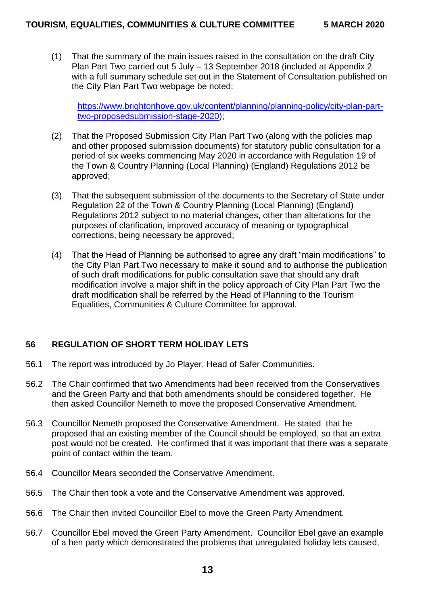(1) That the summary of the main issues raised in the consultation on the draft City Plan Part Two carried out 5 July – 13 September 2018 (included at Appendix 2 with a full summary schedule set out in the Statement of Consultation published on the City Plan Part Two webpage be noted:

[https://www.brightonhove.gov.uk/content/planning/planning-policy/city-plan-part](https://www.brightonhove.gov.uk/content/planning/planning-policy/city-plan-part-two-proposedsubmission-stage-2020)[two-proposedsubmission-stage-2020\)](https://www.brightonhove.gov.uk/content/planning/planning-policy/city-plan-part-two-proposedsubmission-stage-2020);

- (2) That the Proposed Submission City Plan Part Two (along with the policies map and other proposed submission documents) for statutory public consultation for a period of six weeks commencing May 2020 in accordance with Regulation 19 of the Town & Country Planning (Local Planning) (England) Regulations 2012 be approved;
- (3) That the subsequent submission of the documents to the Secretary of State under Regulation 22 of the Town & Country Planning (Local Planning) (England) Regulations 2012 subject to no material changes, other than alterations for the purposes of clarification, improved accuracy of meaning or typographical corrections, being necessary be approved;
- (4) That the Head of Planning be authorised to agree any draft "main modifications" to the City Plan Part Two necessary to make it sound and to authorise the publication of such draft modifications for public consultation save that should any draft modification involve a major shift in the policy approach of City Plan Part Two the draft modification shall be referred by the Head of Planning to the Tourism Equalities, Communities & Culture Committee for approval.

# **56 REGULATION OF SHORT TERM HOLIDAY LETS**

- 56.1 The report was introduced by Jo Player, Head of Safer Communities.
- 56.2 The Chair confirmed that two Amendments had been received from the Conservatives and the Green Party and that both amendments should be considered together. He then asked Councillor Nemeth to move the proposed Conservative Amendment.
- 56.3 Councillor Nemeth proposed the Conservative Amendment. He stated that he proposed that an existing member of the Council should be employed, so that an extra post would not be created. He confirmed that it was important that there was a separate point of contact within the team.
- 56.4 Councillor Mears seconded the Conservative Amendment.
- 56.5 The Chair then took a vote and the Conservative Amendment was approved.
- 56.6 The Chair then invited Councillor Ebel to move the Green Party Amendment.
- 56.7 Councillor Ebel moved the Green Party Amendment. Councillor Ebel gave an example of a hen party which demonstrated the problems that unregulated holiday lets caused,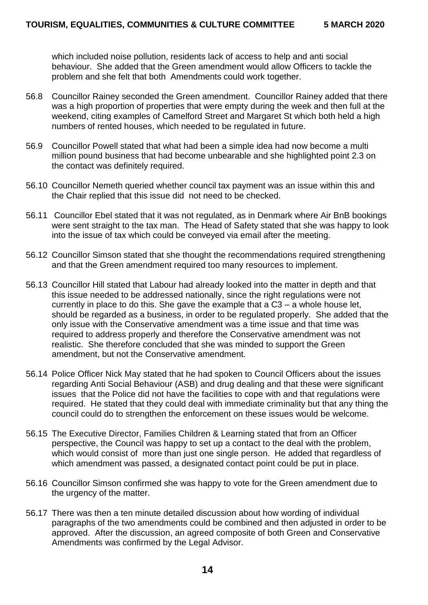which included noise pollution, residents lack of access to help and anti social behaviour. She added that the Green amendment would allow Officers to tackle the problem and she felt that both Amendments could work together.

- 56.8 Councillor Rainey seconded the Green amendment. Councillor Rainey added that there was a high proportion of properties that were empty during the week and then full at the weekend, citing examples of Camelford Street and Margaret St which both held a high numbers of rented houses, which needed to be regulated in future.
- 56.9 Councillor Powell stated that what had been a simple idea had now become a multi million pound business that had become unbearable and she highlighted point 2.3 on the contact was definitely required.
- 56.10 Councillor Nemeth queried whether council tax payment was an issue within this and the Chair replied that this issue did not need to be checked.
- 56.11 Councillor Ebel stated that it was not regulated, as in Denmark where Air BnB bookings were sent straight to the tax man. The Head of Safety stated that she was happy to look into the issue of tax which could be conveyed via email after the meeting.
- 56.12 Councillor Simson stated that she thought the recommendations required strengthening and that the Green amendment required too many resources to implement.
- 56.13 Councillor Hill stated that Labour had already looked into the matter in depth and that this issue needed to be addressed nationally, since the right regulations were not currently in place to do this. She gave the example that a C3 – a whole house let, should be regarded as a business, in order to be regulated properly. She added that the only issue with the Conservative amendment was a time issue and that time was required to address properly and therefore the Conservative amendment was not realistic. She therefore concluded that she was minded to support the Green amendment, but not the Conservative amendment.
- 56.14 Police Officer Nick May stated that he had spoken to Council Officers about the issues regarding Anti Social Behaviour (ASB) and drug dealing and that these were significant issues that the Police did not have the facilities to cope with and that regulations were required. He stated that they could deal with immediate criminality but that any thing the council could do to strengthen the enforcement on these issues would be welcome.
- 56.15 The Executive Director, Families Children & Learning stated that from an Officer perspective, the Council was happy to set up a contact to the deal with the problem, which would consist of more than just one single person. He added that regardless of which amendment was passed, a designated contact point could be put in place.
- 56.16 Councillor Simson confirmed she was happy to vote for the Green amendment due to the urgency of the matter.
- 56.17 There was then a ten minute detailed discussion about how wording of individual paragraphs of the two amendments could be combined and then adjusted in order to be approved. After the discussion, an agreed composite of both Green and Conservative Amendments was confirmed by the Legal Advisor.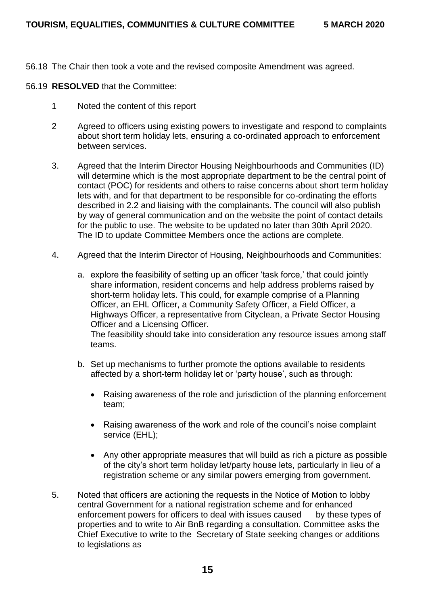- 56.18 The Chair then took a vote and the revised composite Amendment was agreed.
- 56.19 **RESOLVED** that the Committee:
	- 1 Noted the content of this report
	- 2 Agreed to officers using existing powers to investigate and respond to complaints about short term holiday lets, ensuring a co-ordinated approach to enforcement between services.
	- 3. Agreed that the Interim Director Housing Neighbourhoods and Communities (ID) will determine which is the most appropriate department to be the central point of contact (POC) for residents and others to raise concerns about short term holiday lets with, and for that department to be responsible for co-ordinating the efforts described in 2.2 and liaising with the complainants. The council will also publish by way of general communication and on the website the point of contact details for the public to use. The website to be updated no later than 30th April 2020. The ID to update Committee Members once the actions are complete.
	- 4. Agreed that the Interim Director of Housing, Neighbourhoods and Communities:
		- a. explore the feasibility of setting up an officer 'task force,' that could jointly share information, resident concerns and help address problems raised by short-term holiday lets. This could, for example comprise of a Planning Officer, an EHL Officer, a Community Safety Officer, a Field Officer, a Highways Officer, a representative from Cityclean, a Private Sector Housing Officer and a Licensing Officer. The feasibility should take into consideration any resource issues among staff teams.
		- b. Set up mechanisms to further promote the options available to residents affected by a short-term holiday let or 'party house', such as through:
			- Raising awareness of the role and jurisdiction of the planning enforcement team;
			- Raising awareness of the work and role of the council's noise complaint service (EHL);
			- Any other appropriate measures that will build as rich a picture as possible of the city's short term holiday let/party house lets, particularly in lieu of a registration scheme or any similar powers emerging from government.
	- 5. Noted that officers are actioning the requests in the Notice of Motion to lobby central Government for a national registration scheme and for enhanced enforcement powers for officers to deal with issues caused by these types of properties and to write to Air BnB regarding a consultation. Committee asks the Chief Executive to write to the Secretary of State seeking changes or additions to legislations as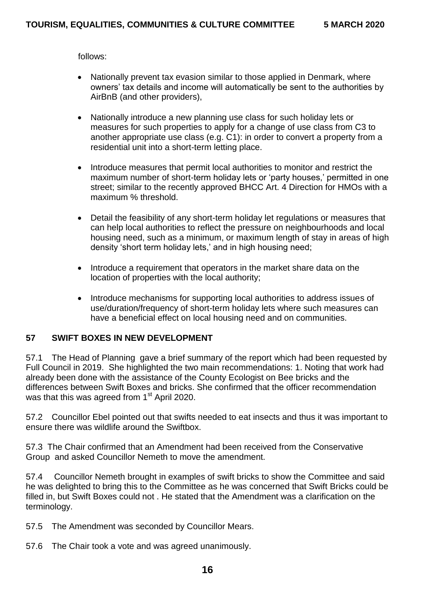follows:

- Nationally prevent tax evasion similar to those applied in Denmark, where owners' tax details and income will automatically be sent to the authorities by AirBnB (and other providers),
- Nationally introduce a new planning use class for such holiday lets or measures for such properties to apply for a change of use class from C3 to another appropriate use class (e.g. C1): in order to convert a property from a residential unit into a short-term letting place.
- Introduce measures that permit local authorities to monitor and restrict the maximum number of short-term holiday lets or 'party houses,' permitted in one street; similar to the recently approved BHCC Art. 4 Direction for HMOs with a maximum % threshold.
- Detail the feasibility of any short-term holiday let regulations or measures that can help local authorities to reflect the pressure on neighbourhoods and local housing need, such as a minimum, or maximum length of stay in areas of high density 'short term holiday lets,' and in high housing need;
- Introduce a requirement that operators in the market share data on the location of properties with the local authority;
- Introduce mechanisms for supporting local authorities to address issues of use/duration/frequency of short-term holiday lets where such measures can have a beneficial effect on local housing need and on communities.

## **57 SWIFT BOXES IN NEW DEVELOPMENT**

57.1 The Head of Planning gave a brief summary of the report which had been requested by Full Council in 2019. She highlighted the two main recommendations: 1. Noting that work had already been done with the assistance of the County Ecologist on Bee bricks and the differences between Swift Boxes and bricks. She confirmed that the officer recommendation was that this was agreed from 1<sup>st</sup> April 2020.

57.2 Councillor Ebel pointed out that swifts needed to eat insects and thus it was important to ensure there was wildlife around the Swiftbox.

57.3 The Chair confirmed that an Amendment had been received from the Conservative Group and asked Councillor Nemeth to move the amendment.

57.4 Councillor Nemeth brought in examples of swift bricks to show the Committee and said he was delighted to bring this to the Committee as he was concerned that Swift Bricks could be filled in, but Swift Boxes could not . He stated that the Amendment was a clarification on the terminology.

57.5 The Amendment was seconded by Councillor Mears.

57.6 The Chair took a vote and was agreed unanimously.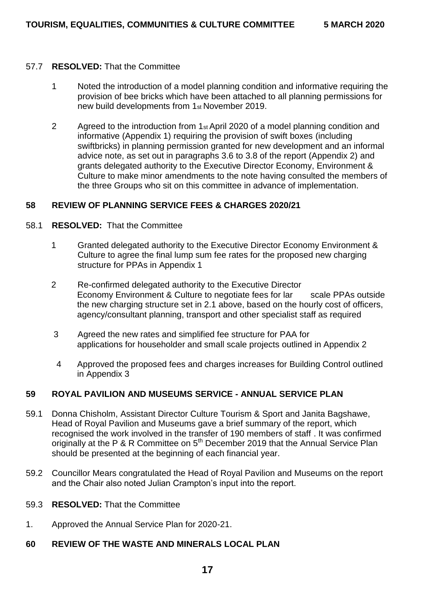#### 57.7 **RESOLVED:** That the Committee

- 1 Noted the introduction of a model planning condition and informative requiring the provision of bee bricks which have been attached to all planning permissions for new build developments from 1st November 2019.
- 2 Agreed to the introduction from 1st April 2020 of a model planning condition and informative (Appendix 1) requiring the provision of swift boxes (including swiftbricks) in planning permission granted for new development and an informal advice note, as set out in paragraphs 3.6 to 3.8 of the report (Appendix 2) and grants delegated authority to the Executive Director Economy, Environment & Culture to make minor amendments to the note having consulted the members of the three Groups who sit on this committee in advance of implementation.

#### **58 REVIEW OF PLANNING SERVICE FEES & CHARGES 2020/21**

#### 58.1 **RESOLVED:** That the Committee

- 1 Granted delegated authority to the Executive Director Economy Environment & Culture to agree the final lump sum fee rates for the proposed new charging structure for PPAs in Appendix 1
- 2 Re-confirmed delegated authority to the Executive Director Economy Environment & Culture to negotiate fees for lar scale PPAs outside the new charging structure set in 2.1 above, based on the hourly cost of officers, agency/consultant planning, transport and other specialist staff as required
- 3 Agreed the new rates and simplified fee structure for PAA for applications for householder and small scale projects outlined in Appendix 2
- 4 Approved the proposed fees and charges increases for Building Control outlined in Appendix 3

#### **59 ROYAL PAVILION AND MUSEUMS SERVICE - ANNUAL SERVICE PLAN**

- 59.1 Donna Chisholm, Assistant Director Culture Tourism & Sport and Janita Bagshawe, Head of Royal Pavilion and Museums gave a brief summary of the report, which recognised the work involved in the transfer of 190 members of staff . It was confirmed originally at the P & R Committee on 5<sup>th</sup> December 2019 that the Annual Service Plan should be presented at the beginning of each financial year.
- 59.2 Councillor Mears congratulated the Head of Royal Pavilion and Museums on the report and the Chair also noted Julian Crampton's input into the report.
- 59.3 **RESOLVED:** That the Committee
- 1. Approved the Annual Service Plan for 2020-21.

## **60 REVIEW OF THE WASTE AND MINERALS LOCAL PLAN**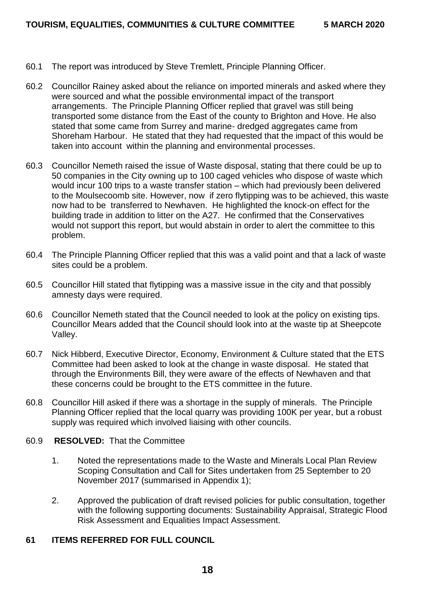- 60.1 The report was introduced by Steve Tremlett, Principle Planning Officer.
- 60.2 Councillor Rainey asked about the reliance on imported minerals and asked where they were sourced and what the possible environmental impact of the transport arrangements. The Principle Planning Officer replied that gravel was still being transported some distance from the East of the county to Brighton and Hove. He also stated that some came from Surrey and marine- dredged aggregates came from Shoreham Harbour. He stated that they had requested that the impact of this would be taken into account within the planning and environmental processes.
- 60.3 Councillor Nemeth raised the issue of Waste disposal, stating that there could be up to 50 companies in the City owning up to 100 caged vehicles who dispose of waste which would incur 100 trips to a waste transfer station – which had previously been delivered to the Moulsecoomb site. However, now if zero flytipping was to be achieved, this waste now had to be transferred to Newhaven. He highlighted the knock-on effect for the building trade in addition to litter on the A27. He confirmed that the Conservatives would not support this report, but would abstain in order to alert the committee to this problem.
- 60.4 The Principle Planning Officer replied that this was a valid point and that a lack of waste sites could be a problem.
- 60.5 Councillor Hill stated that flytipping was a massive issue in the city and that possibly amnesty days were required.
- 60.6 Councillor Nemeth stated that the Council needed to look at the policy on existing tips. Councillor Mears added that the Council should look into at the waste tip at Sheepcote Valley.
- 60.7 Nick Hibberd, Executive Director, Economy, Environment & Culture stated that the ETS Committee had been asked to look at the change in waste disposal. He stated that through the Environments Bill, they were aware of the effects of Newhaven and that these concerns could be brought to the ETS committee in the future.
- 60.8 Councillor Hill asked if there was a shortage in the supply of minerals. The Principle Planning Officer replied that the local quarry was providing 100K per year, but a robust supply was required which involved liaising with other councils.

## 60.9 **RESOLVED:** That the Committee

- 1. Noted the representations made to the Waste and Minerals Local Plan Review Scoping Consultation and Call for Sites undertaken from 25 September to 20 November 2017 (summarised in Appendix 1);
- 2. Approved the publication of draft revised policies for public consultation, together with the following supporting documents: Sustainability Appraisal, Strategic Flood Risk Assessment and Equalities Impact Assessment.

# **61 ITEMS REFERRED FOR FULL COUNCIL**